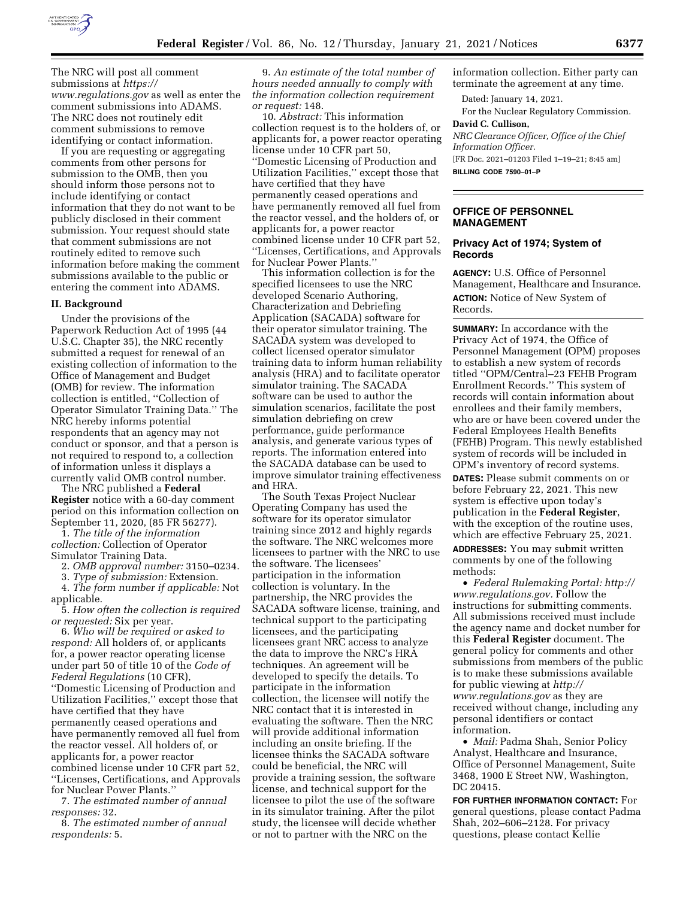

The NRC will post all comment submissions at *[https://](https://www.regulations.gov) [www.regulations.gov](https://www.regulations.gov)* as well as enter the comment submissions into ADAMS. The NRC does not routinely edit comment submissions to remove identifying or contact information.

If you are requesting or aggregating comments from other persons for submission to the OMB, then you should inform those persons not to include identifying or contact information that they do not want to be publicly disclosed in their comment submission. Your request should state that comment submissions are not routinely edited to remove such information before making the comment submissions available to the public or entering the comment into ADAMS.

# **II. Background**

Under the provisions of the Paperwork Reduction Act of 1995 (44 U.S.C. Chapter 35), the NRC recently submitted a request for renewal of an existing collection of information to the Office of Management and Budget (OMB) for review. The information collection is entitled, ''Collection of Operator Simulator Training Data.'' The NRC hereby informs potential respondents that an agency may not conduct or sponsor, and that a person is not required to respond to, a collection of information unless it displays a currently valid OMB control number.

The NRC published a **Federal Register** notice with a 60-day comment period on this information collection on September 11, 2020, (85 FR 56277).

1. *The title of the information collection:* Collection of Operator Simulator Training Data.

2. *OMB approval number:* 3150–0234.

3. *Type of submission:* Extension.

4. *The form number if applicable:* Not

applicable.

5. *How often the collection is required or requested:* Six per year.

6. *Who will be required or asked to respond:* All holders of, or applicants for, a power reactor operating license under part 50 of title 10 of the *Code of Federal Regulations* (10 CFR), ''Domestic Licensing of Production and Utilization Facilities,'' except those that have certified that they have permanently ceased operations and have permanently removed all fuel from the reactor vessel. All holders of, or applicants for, a power reactor combined license under 10 CFR part 52, ''Licenses, Certifications, and Approvals for Nuclear Power Plants.''

7. *The estimated number of annual responses:* 32.

8. *The estimated number of annual respondents:* 5.

9. *An estimate of the total number of hours needed annually to comply with the information collection requirement or request:* 148.

10. *Abstract:* This information collection request is to the holders of, or applicants for, a power reactor operating license under 10 CFR part 50, ''Domestic Licensing of Production and Utilization Facilities,'' except those that have certified that they have permanently ceased operations and have permanently removed all fuel from the reactor vessel, and the holders of, or applicants for, a power reactor combined license under 10 CFR part 52, ''Licenses, Certifications, and Approvals for Nuclear Power Plants.''

This information collection is for the specified licensees to use the NRC developed Scenario Authoring, Characterization and Debriefing Application (SACADA) software for their operator simulator training. The SACADA system was developed to collect licensed operator simulator training data to inform human reliability analysis (HRA) and to facilitate operator simulator training. The SACADA software can be used to author the simulation scenarios, facilitate the post simulation debriefing on crew performance, guide performance analysis, and generate various types of reports. The information entered into the SACADA database can be used to improve simulator training effectiveness and HRA.

The South Texas Project Nuclear Operating Company has used the software for its operator simulator training since 2012 and highly regards the software. The NRC welcomes more licensees to partner with the NRC to use the software. The licensees' participation in the information collection is voluntary. In the partnership, the NRC provides the SACADA software license, training, and technical support to the participating licensees, and the participating licensees grant NRC access to analyze the data to improve the NRC's HRA techniques. An agreement will be developed to specify the details. To participate in the information collection, the licensee will notify the NRC contact that it is interested in evaluating the software. Then the NRC will provide additional information including an onsite briefing. If the licensee thinks the SACADA software could be beneficial, the NRC will provide a training session, the software license, and technical support for the licensee to pilot the use of the software in its simulator training. After the pilot study, the licensee will decide whether or not to partner with the NRC on the

information collection. Either party can terminate the agreement at any time.

Dated: January 14, 2021.

For the Nuclear Regulatory Commission. **David C. Cullison,** 

*NRC Clearance Officer, Office of the Chief Information Officer.*  [FR Doc. 2021–01203 Filed 1–19–21; 8:45 am]

**BILLING CODE 7590–01–P** 

# **OFFICE OF PERSONNEL MANAGEMENT**

# **Privacy Act of 1974; System of Records**

**AGENCY:** U.S. Office of Personnel Management, Healthcare and Insurance. **ACTION:** Notice of New System of Records.

**SUMMARY:** In accordance with the Privacy Act of 1974, the Office of Personnel Management (OPM) proposes to establish a new system of records titled ''OPM/Central–23 FEHB Program Enrollment Records.'' This system of records will contain information about enrollees and their family members, who are or have been covered under the Federal Employees Health Benefits (FEHB) Program. This newly established system of records will be included in OPM's inventory of record systems.

**DATES:** Please submit comments on or before February 22, 2021. This new system is effective upon today's publication in the **Federal Register**, with the exception of the routine uses, which are effective February 25, 2021.

**ADDRESSES:** You may submit written comments by one of the following methods:

• *Federal Rulemaking Portal: [http://](http://www.regulations.gov) [www.regulations.gov.](http://www.regulations.gov)* Follow the instructions for submitting comments. All submissions received must include the agency name and docket number for this **Federal Register** document. The general policy for comments and other submissions from members of the public is to make these submissions available for public viewing at *[http://](http://www.regulations.gov) [www.regulations.gov](http://www.regulations.gov)* as they are received without change, including any personal identifiers or contact information.

• *Mail:* Padma Shah, Senior Policy Analyst, Healthcare and Insurance, Office of Personnel Management, Suite 3468, 1900 E Street NW, Washington, DC 20415.

**FOR FURTHER INFORMATION CONTACT:** For general questions, please contact Padma Shah, 202–606–2128. For privacy questions, please contact Kellie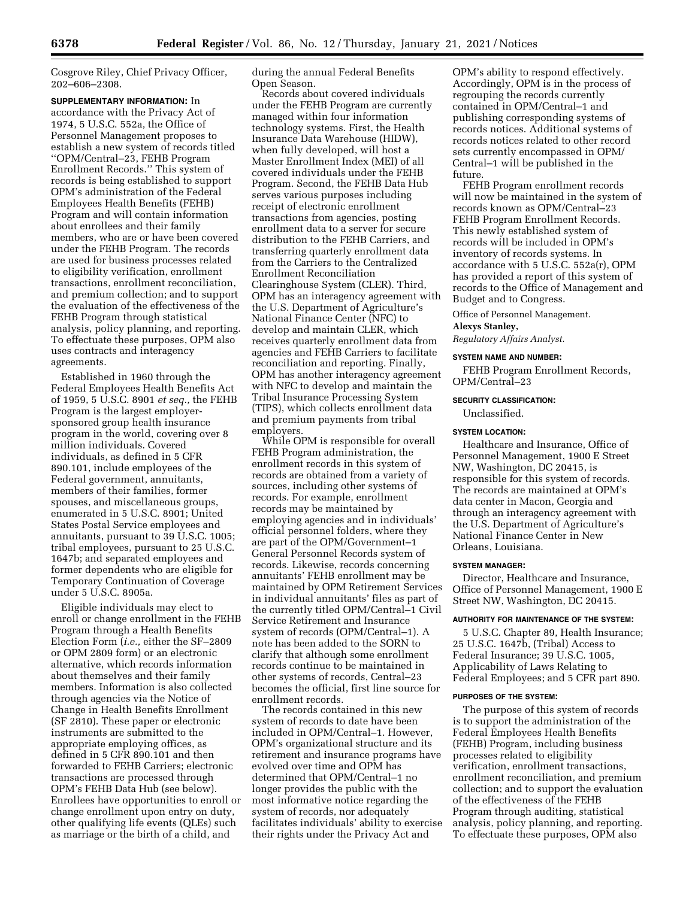Cosgrove Riley, Chief Privacy Officer, 202–606–2308.

**SUPPLEMENTARY INFORMATION:** In accordance with the Privacy Act of 1974, 5 U.S.C. 552a, the Office of Personnel Management proposes to establish a new system of records titled ''OPM/Central–23, FEHB Program Enrollment Records.'' This system of records is being established to support OPM's administration of the Federal Employees Health Benefits (FEHB) Program and will contain information about enrollees and their family members, who are or have been covered under the FEHB Program. The records are used for business processes related to eligibility verification, enrollment transactions, enrollment reconciliation, and premium collection; and to support the evaluation of the effectiveness of the FEHB Program through statistical analysis, policy planning, and reporting. To effectuate these purposes, OPM also uses contracts and interagency agreements.

Established in 1960 through the Federal Employees Health Benefits Act of 1959, 5 U.S.C. 8901 *et seq.,* the FEHB Program is the largest employersponsored group health insurance program in the world, covering over 8 million individuals. Covered individuals, as defined in 5 CFR 890.101, include employees of the Federal government, annuitants, members of their families, former spouses, and miscellaneous groups, enumerated in 5 U.S.C. 8901; United States Postal Service employees and annuitants, pursuant to 39 U.S.C. 1005; tribal employees, pursuant to 25 U.S.C. 1647b; and separated employees and former dependents who are eligible for Temporary Continuation of Coverage under 5 U.S.C. 8905a.

Eligible individuals may elect to enroll or change enrollment in the FEHB Program through a Health Benefits Election Form (*i.e.,* either the SF–2809 or OPM 2809 form) or an electronic alternative, which records information about themselves and their family members. Information is also collected through agencies via the Notice of Change in Health Benefits Enrollment (SF 2810). These paper or electronic instruments are submitted to the appropriate employing offices, as defined in 5 CFR 890.101 and then forwarded to FEHB Carriers; electronic transactions are processed through OPM's FEHB Data Hub (see below). Enrollees have opportunities to enroll or change enrollment upon entry on duty, other qualifying life events (QLEs) such as marriage or the birth of a child, and

during the annual Federal Benefits Open Season.

Records about covered individuals under the FEHB Program are currently managed within four information technology systems. First, the Health Insurance Data Warehouse (HIDW), when fully developed, will host a Master Enrollment Index (MEI) of all covered individuals under the FEHB Program. Second, the FEHB Data Hub serves various purposes including receipt of electronic enrollment transactions from agencies, posting enrollment data to a server for secure distribution to the FEHB Carriers, and transferring quarterly enrollment data from the Carriers to the Centralized Enrollment Reconciliation Clearinghouse System (CLER). Third, OPM has an interagency agreement with the U.S. Department of Agriculture's National Finance Center (NFC) to develop and maintain CLER, which receives quarterly enrollment data from agencies and FEHB Carriers to facilitate reconciliation and reporting. Finally, OPM has another interagency agreement with NFC to develop and maintain the Tribal Insurance Processing System (TIPS), which collects enrollment data and premium payments from tribal employers.

While OPM is responsible for overall FEHB Program administration, the enrollment records in this system of records are obtained from a variety of sources, including other systems of records. For example, enrollment records may be maintained by employing agencies and in individuals' official personnel folders, where they are part of the OPM/Government–1 General Personnel Records system of records. Likewise, records concerning annuitants' FEHB enrollment may be maintained by OPM Retirement Services in individual annuitants' files as part of the currently titled OPM/Central–1 Civil Service Retirement and Insurance system of records (OPM/Central–1). A note has been added to the SORN to clarify that although some enrollment records continue to be maintained in other systems of records, Central–23 becomes the official, first line source for enrollment records.

The records contained in this new system of records to date have been included in OPM/Central–1. However, OPM's organizational structure and its retirement and insurance programs have evolved over time and OPM has determined that OPM/Central–1 no longer provides the public with the most informative notice regarding the system of records, nor adequately facilitates individuals' ability to exercise their rights under the Privacy Act and

OPM's ability to respond effectively. Accordingly, OPM is in the process of regrouping the records currently contained in OPM/Central–1 and publishing corresponding systems of records notices. Additional systems of records notices related to other record sets currently encompassed in OPM/ Central–1 will be published in the future.

FEHB Program enrollment records will now be maintained in the system of records known as OPM/Central–23 FEHB Program Enrollment Records. This newly established system of records will be included in OPM's inventory of records systems. In accordance with 5 U.S.C. 552a(r), OPM has provided a report of this system of records to the Office of Management and Budget and to Congress.

Office of Personnel Management.

#### **Alexys Stanley,**

*Regulatory Affairs Analyst.* 

#### **SYSTEM NAME AND NUMBER:**

FEHB Program Enrollment Records, OPM/Central–23

#### **SECURITY CLASSIFICATION:**

Unclassified.

## **SYSTEM LOCATION:**

Healthcare and Insurance, Office of Personnel Management, 1900 E Street NW, Washington, DC 20415, is responsible for this system of records. The records are maintained at OPM's data center in Macon, Georgia and through an interagency agreement with the U.S. Department of Agriculture's National Finance Center in New Orleans, Louisiana.

#### **SYSTEM MANAGER:**

Director, Healthcare and Insurance, Office of Personnel Management, 1900 E Street NW, Washington, DC 20415.

## **AUTHORITY FOR MAINTENANCE OF THE SYSTEM:**

5 U.S.C. Chapter 89, Health Insurance; 25 U.S.C.  $1647\overline{b}$ , (Tribal) Access to Federal Insurance; 39 U.S.C. 1005, Applicability of Laws Relating to Federal Employees; and 5 CFR part 890.

#### **PURPOSES OF THE SYSTEM:**

The purpose of this system of records is to support the administration of the Federal Employees Health Benefits (FEHB) Program, including business processes related to eligibility verification, enrollment transactions, enrollment reconciliation, and premium collection; and to support the evaluation of the effectiveness of the FEHB Program through auditing, statistical analysis, policy planning, and reporting. To effectuate these purposes, OPM also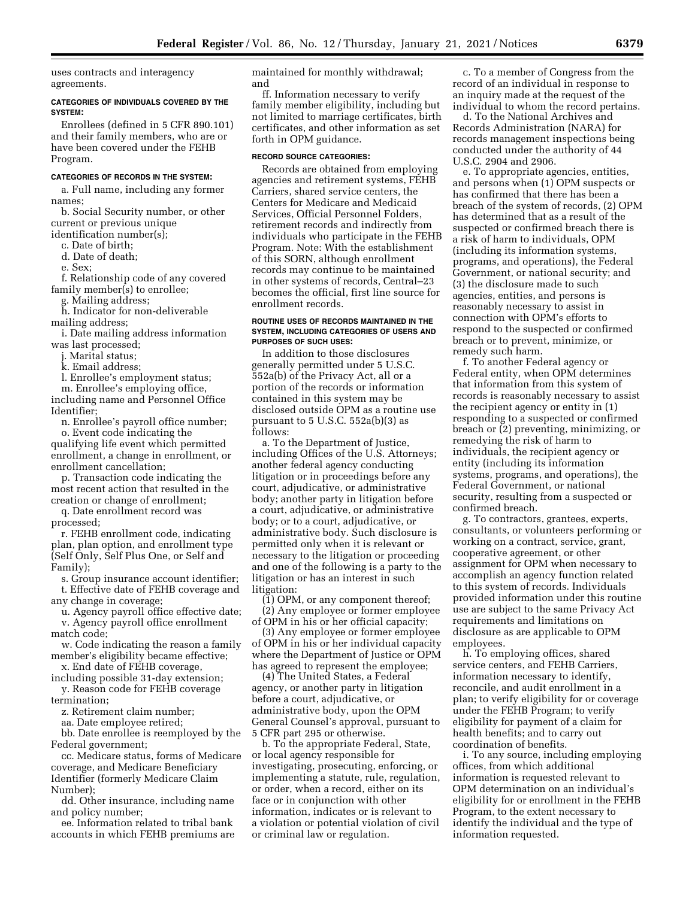uses contracts and interagency agreements.

## **CATEGORIES OF INDIVIDUALS COVERED BY THE SYSTEM:**

Enrollees (defined in 5 CFR 890.101) and their family members, who are or have been covered under the FEHB Program.

## **CATEGORIES OF RECORDS IN THE SYSTEM:**

a. Full name, including any former names;

b. Social Security number, or other current or previous unique

identification number(s); c. Date of birth;

d. Date of death;

e. Sex;

f. Relationship code of any covered family member(s) to enrollee;

g. Mailing address;

h. Indicator for non-deliverable

mailing address; i. Date mailing address information

was last processed;

j. Marital status;

k. Email address;

l. Enrollee's employment status;

m. Enrollee's employing office, including name and Personnel Office Identifier;

n. Enrollee's payroll office number;

o. Event code indicating the qualifying life event which permitted enrollment, a change in enrollment, or enrollment cancellation;

p. Transaction code indicating the most recent action that resulted in the creation or change of enrollment;

q. Date enrollment record was processed;

r. FEHB enrollment code, indicating plan, plan option, and enrollment type (Self Only, Self Plus One, or Self and Family);

s. Group insurance account identifier; t. Effective date of FEHB coverage and

any change in coverage;

u. Agency payroll office effective date; v. Agency payroll office enrollment

match code;

w. Code indicating the reason a family member's eligibility became effective;

x. End date of FEHB coverage, including possible 31-day extension;

y. Reason code for FEHB coverage termination;

z. Retirement claim number;

aa. Date employee retired;

bb. Date enrollee is reemployed by the Federal government;

cc. Medicare status, forms of Medicare coverage, and Medicare Beneficiary Identifier (formerly Medicare Claim Number);

dd. Other insurance, including name and policy number;

ee. Information related to tribal bank accounts in which FEHB premiums are maintained for monthly withdrawal; and

ff. Information necessary to verify family member eligibility, including but not limited to marriage certificates, birth certificates, and other information as set forth in OPM guidance.

## **RECORD SOURCE CATEGORIES:**

Records are obtained from employing agencies and retirement systems, FEHB Carriers, shared service centers, the Centers for Medicare and Medicaid Services, Official Personnel Folders, retirement records and indirectly from individuals who participate in the FEHB Program. Note: With the establishment of this SORN, although enrollment records may continue to be maintained in other systems of records, Central–23 becomes the official, first line source for enrollment records.

## **ROUTINE USES OF RECORDS MAINTAINED IN THE SYSTEM, INCLUDING CATEGORIES OF USERS AND PURPOSES OF SUCH USES:**

In addition to those disclosures generally permitted under 5 U.S.C. 552a(b) of the Privacy Act, all or a portion of the records or information contained in this system may be disclosed outside OPM as a routine use pursuant to 5 U.S.C. 552a(b)(3) as follows:

a. To the Department of Justice, including Offices of the U.S. Attorneys; another federal agency conducting litigation or in proceedings before any court, adjudicative, or administrative body; another party in litigation before a court, adjudicative, or administrative body; or to a court, adjudicative, or administrative body. Such disclosure is permitted only when it is relevant or necessary to the litigation or proceeding and one of the following is a party to the litigation or has an interest in such litigation:

(1) OPM, or any component thereof; (2) Any employee or former employee of OPM in his or her official capacity;

(3) Any employee or former employee of OPM in his or her individual capacity where the Department of Justice or OPM has agreed to represent the employee;

(4) The United States, a Federal agency, or another party in litigation before a court, adjudicative, or administrative body, upon the OPM General Counsel's approval, pursuant to 5 CFR part 295 or otherwise.

b. To the appropriate Federal, State, or local agency responsible for investigating, prosecuting, enforcing, or implementing a statute, rule, regulation, or order, when a record, either on its face or in conjunction with other information, indicates or is relevant to a violation or potential violation of civil or criminal law or regulation.

c. To a member of Congress from the record of an individual in response to an inquiry made at the request of the individual to whom the record pertains.

d. To the National Archives and Records Administration (NARA) for records management inspections being conducted under the authority of 44 U.S.C. 2904 and 2906.

e. To appropriate agencies, entities, and persons when (1) OPM suspects or has confirmed that there has been a breach of the system of records, (2) OPM has determined that as a result of the suspected or confirmed breach there is a risk of harm to individuals, OPM (including its information systems, programs, and operations), the Federal Government, or national security; and (3) the disclosure made to such agencies, entities, and persons is reasonably necessary to assist in connection with OPM's efforts to respond to the suspected or confirmed breach or to prevent, minimize, or remedy such harm.

f. To another Federal agency or Federal entity, when OPM determines that information from this system of records is reasonably necessary to assist the recipient agency or entity in (1) responding to a suspected or confirmed breach or (2) preventing, minimizing, or remedying the risk of harm to individuals, the recipient agency or entity (including its information systems, programs, and operations), the Federal Government, or national security, resulting from a suspected or confirmed breach.

g. To contractors, grantees, experts, consultants, or volunteers performing or working on a contract, service, grant, cooperative agreement, or other assignment for OPM when necessary to accomplish an agency function related to this system of records. Individuals provided information under this routine use are subject to the same Privacy Act requirements and limitations on disclosure as are applicable to OPM employees.

h. To employing offices, shared service centers, and FEHB Carriers, information necessary to identify, reconcile, and audit enrollment in a plan; to verify eligibility for or coverage under the FEHB Program; to verify eligibility for payment of a claim for health benefits; and to carry out coordination of benefits.

i. To any source, including employing offices, from which additional information is requested relevant to OPM determination on an individual's eligibility for or enrollment in the FEHB Program, to the extent necessary to identify the individual and the type of information requested.